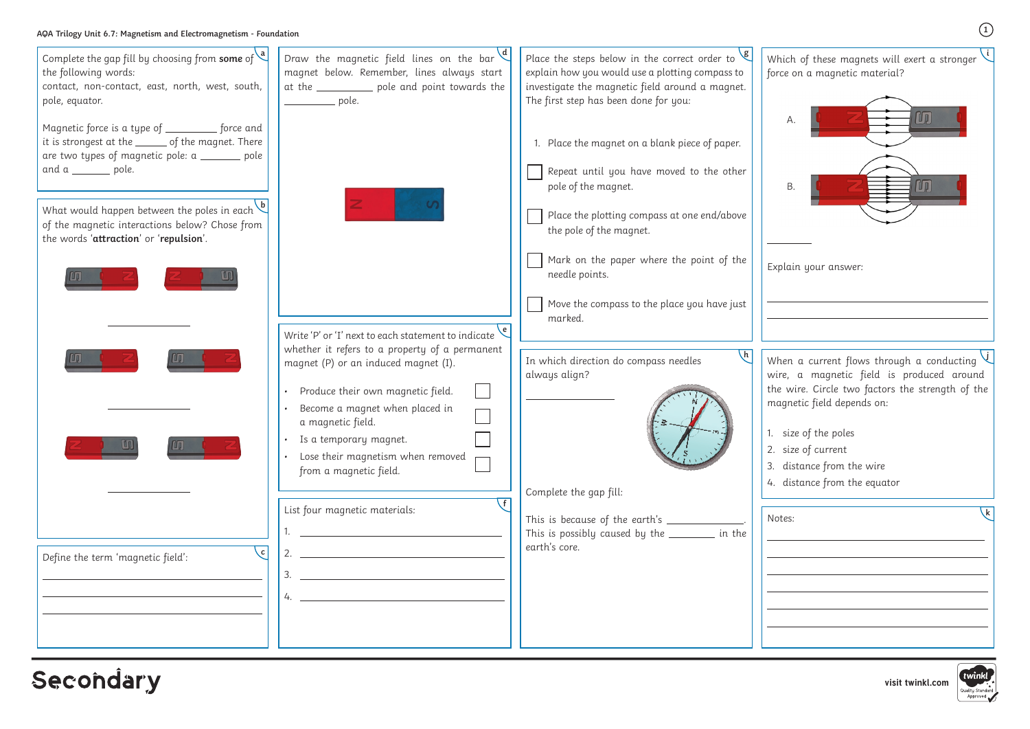**visit twinkl.com**



## **Secondary**

**1**

**<sup>g</sup>** Which of these magnets will exert a stronger force on a magnetic material? Explain your answer: **i** A. B. When a current flows through a conducting **j** wire, a magnetic field is produced around the wire. Circle two factors the strength of the magnetic field depends on: 1. size of the poles 2. size of current 3. distance from the wire 4. distance from the equator Notes: **<sup>k</sup>**

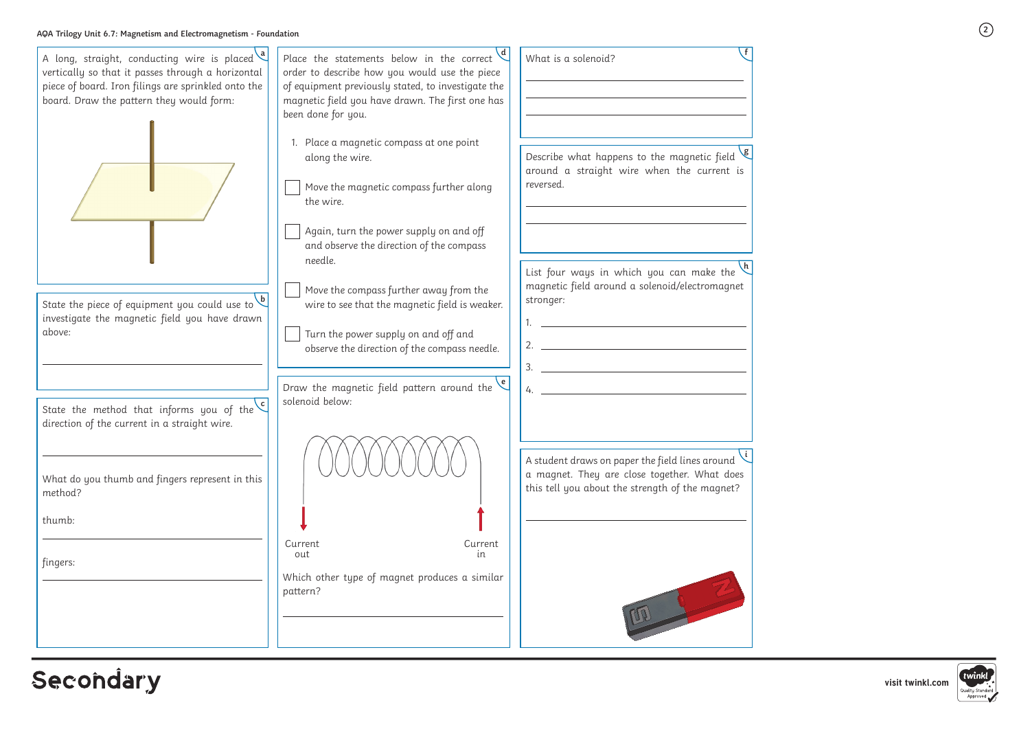**2**

| A long, straight, conducting wire is placed<br>vertically so that it passes through a horizontal<br>piece of board. Iron filings are sprinkled onto the<br>board. Draw the pattern they would form: | Place the statements below in the correct $\frac{d}{dx}$<br>order to describe how you would use the piece<br>of equipment previously stated, to investigate the<br>magnetic field you have drawn. The first one has<br>been done for you.<br>1. Place a magnetic compass at one point | What is a solenoid?                                                                                                                                |
|-----------------------------------------------------------------------------------------------------------------------------------------------------------------------------------------------------|---------------------------------------------------------------------------------------------------------------------------------------------------------------------------------------------------------------------------------------------------------------------------------------|----------------------------------------------------------------------------------------------------------------------------------------------------|
|                                                                                                                                                                                                     | along the wire.<br>Move the magnetic compass further along<br>the wire.<br>Again, turn the power supply on and off                                                                                                                                                                    | Describe what happens to the magnetic field $\frac{18}{3}$<br>around a straight wire when the current is<br>reversed.                              |
| State the piece of equipment you could use to $\sqrt{b}$<br>investigate the magnetic field you have drawn                                                                                           | and observe the direction of the compass<br>needle.<br>Move the compass further away from the<br>wire to see that the magnetic field is weaker.                                                                                                                                       | List four ways in which you can make the<br>magnetic field around a solenoid/electromagnet<br>stronger:                                            |
| above:<br>$\mathsf{c}$                                                                                                                                                                              | Turn the power supply on and off and<br>observe the direction of the compass needle.<br>$\epsilon$<br>Draw the magnetic field pattern around the<br>solenoid below:                                                                                                                   | 2.<br>$\overline{\mathbf{3}}$ .<br>$\frac{1}{2}$                                                                                                   |
| State the method that informs you of the<br>direction of the current in a straight wire.<br>What do you thumb and fingers represent in this                                                         |                                                                                                                                                                                                                                                                                       | A student draws on paper the field lines around<br>a magnet. They are close together. What does<br>this tell you about the strength of the magnet? |
| method?<br>thumb:<br>fingers:                                                                                                                                                                       | Current<br>Current<br>out<br>in                                                                                                                                                                                                                                                       |                                                                                                                                                    |
|                                                                                                                                                                                                     | Which other type of magnet produces a similar<br>pattern?                                                                                                                                                                                                                             |                                                                                                                                                    |

## Secondary

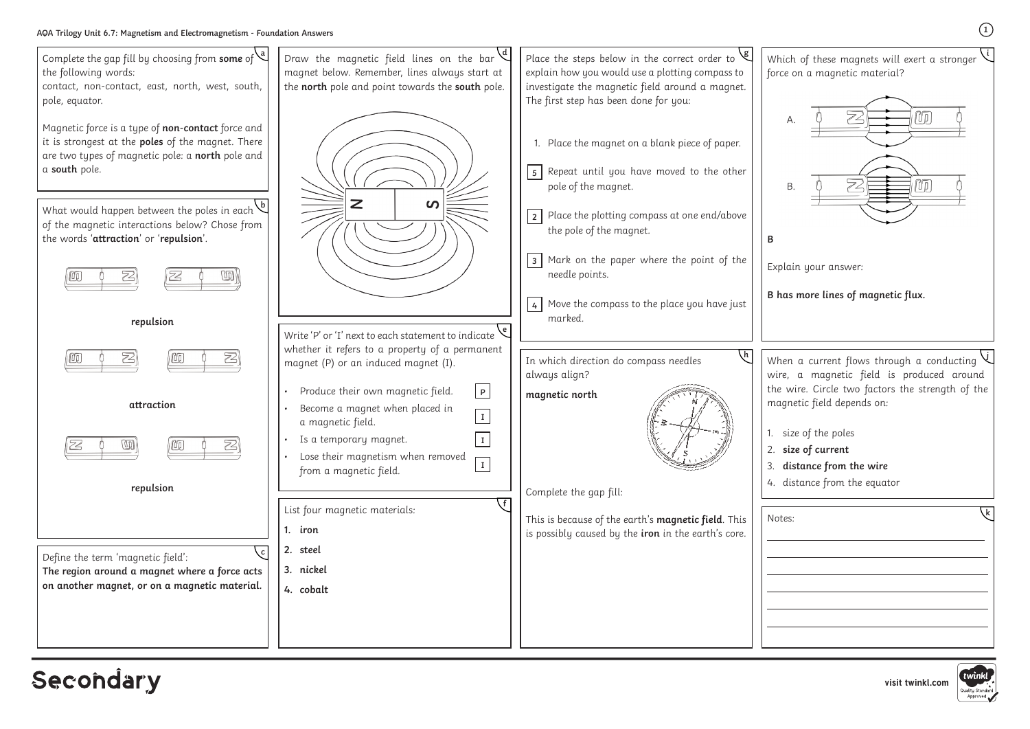**visit twinkl.com**

**<sup>g</sup>** Which of these magnets will exert a stronger force on a magnetic material?

Explain your answer:

**B has more lines of magnetic flux.**

**i**

**1**



## Secondary



When a current flows through a conducting wire, a magnetic field is produced around the wire. Circle two factors the strength of the magnetic field depends on: **j**

1. size of the poles 2. **size of current**

3. **distance from the wire**

4. distance from the equator

Notes: **<sup>k</sup>**